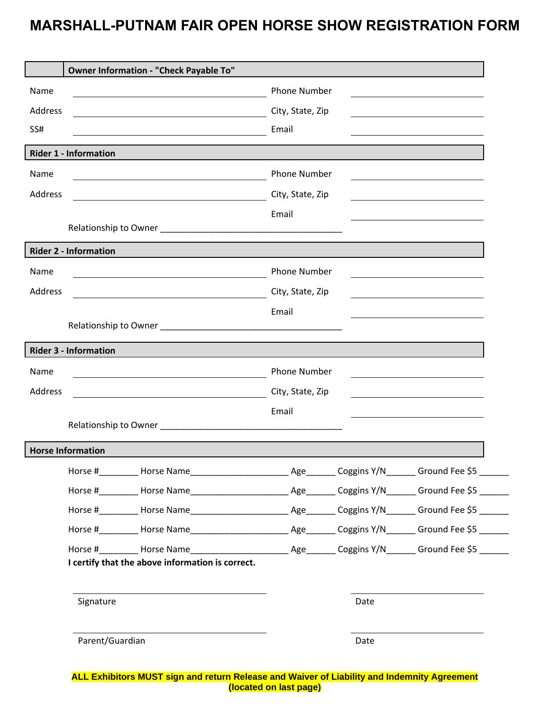## **MARSHALL-PUTNAM FAIR OPEN HORSE SHOW REGISTRATION FORM**

|         | Owner Information - "Check Payable To"                                                                                                                                                                                         |                     |      |  |
|---------|--------------------------------------------------------------------------------------------------------------------------------------------------------------------------------------------------------------------------------|---------------------|------|--|
| Name    |                                                                                                                                                                                                                                | <b>Phone Number</b> |      |  |
| Address |                                                                                                                                                                                                                                | City, State, Zip    |      |  |
| SS#     |                                                                                                                                                                                                                                | Email               |      |  |
|         |                                                                                                                                                                                                                                |                     |      |  |
|         | <b>Rider 1 - Information</b>                                                                                                                                                                                                   |                     |      |  |
| Name    |                                                                                                                                                                                                                                | <b>Phone Number</b> |      |  |
| Address | <u> 1989 - Johann Barnett, fransk politiker (d. 1989)</u>                                                                                                                                                                      | City, State, Zip    |      |  |
|         |                                                                                                                                                                                                                                | Email               |      |  |
|         | Relationship to Owner Management and Contact the Contract of the Contract of the Contract of the Contract of the Contract of the Contract of the Contract of the Contract of the Contract of the Contract of the Contract of t |                     |      |  |
|         | <b>Rider 2 - Information</b>                                                                                                                                                                                                   |                     |      |  |
| Name    |                                                                                                                                                                                                                                | <b>Phone Number</b> |      |  |
| Address |                                                                                                                                                                                                                                | City, State, Zip    |      |  |
|         |                                                                                                                                                                                                                                | Email               |      |  |
|         | Relationship to Owner Management and the contract of the contract of the contract of the contract of the contract of the contract of the contract of the contract of the contract of the contract of the contract of the contr |                     |      |  |
|         | <b>Rider 3 - Information</b>                                                                                                                                                                                                   |                     |      |  |
| Name    |                                                                                                                                                                                                                                | <b>Phone Number</b> |      |  |
| Address |                                                                                                                                                                                                                                | City, State, Zip    |      |  |
|         |                                                                                                                                                                                                                                | Email               |      |  |
|         |                                                                                                                                                                                                                                |                     |      |  |
|         | <b>Horse Information</b>                                                                                                                                                                                                       |                     |      |  |
|         | Horse #_________ Horse Name___________________________________ Coggins Y/N________ Ground Fee \$5 _______                                                                                                                      |                     |      |  |
|         | Horse #_________ Horse Name__________________________________ Coggins Y/N________ Ground Fee \$5 _______                                                                                                                       |                     |      |  |
|         |                                                                                                                                                                                                                                |                     |      |  |
|         |                                                                                                                                                                                                                                |                     |      |  |
|         |                                                                                                                                                                                                                                |                     |      |  |
|         | I certify that the above information is correct.                                                                                                                                                                               |                     |      |  |
|         |                                                                                                                                                                                                                                |                     |      |  |
|         | Signature                                                                                                                                                                                                                      |                     | Date |  |
|         |                                                                                                                                                                                                                                |                     |      |  |
|         |                                                                                                                                                                                                                                |                     |      |  |
|         | Parent/Guardian                                                                                                                                                                                                                |                     | Date |  |
|         |                                                                                                                                                                                                                                |                     |      |  |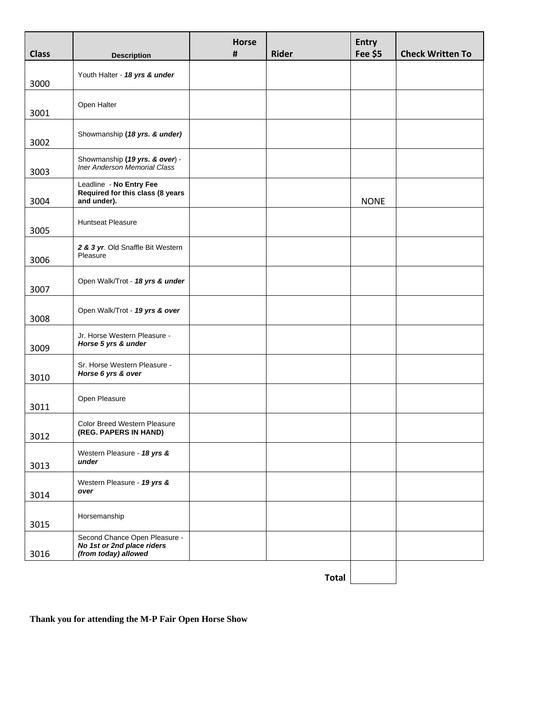| <b>Class</b> | <b>Description</b>                                                                  | <b>Horse</b><br># | <b>Rider</b> | <b>Entry</b><br>Fee \$5 | <b>Check Written To</b> |
|--------------|-------------------------------------------------------------------------------------|-------------------|--------------|-------------------------|-------------------------|
|              |                                                                                     |                   |              |                         |                         |
| 3000         | Youth Halter - 18 yrs & under                                                       |                   |              |                         |                         |
|              | Open Halter                                                                         |                   |              |                         |                         |
| 3001         |                                                                                     |                   |              |                         |                         |
| 3002         | Showmanship (18 yrs. & under)                                                       |                   |              |                         |                         |
| 3003         | Showmanship (19 yrs. & over) -<br>Iner Anderson Memorial Class                      |                   |              |                         |                         |
| 3004         | Leadline - No Entry Fee<br>Required for this class (8 years<br>and under).          |                   |              | <b>NONE</b>             |                         |
| 3005         | <b>Huntseat Pleasure</b>                                                            |                   |              |                         |                         |
| 3006         | 2 & 3 yr. Old Snaffle Bit Western<br>Pleasure                                       |                   |              |                         |                         |
| 3007         | Open Walk/Trot - 18 yrs & under                                                     |                   |              |                         |                         |
| 3008         | Open Walk/Trot - 19 yrs & over                                                      |                   |              |                         |                         |
| 3009         | Jr. Horse Western Pleasure -<br>Horse 5 yrs & under                                 |                   |              |                         |                         |
| 3010         | Sr. Horse Western Pleasure -<br>Horse 6 yrs & over                                  |                   |              |                         |                         |
| 3011         | Open Pleasure                                                                       |                   |              |                         |                         |
| 3012         | Color Breed Western Pleasure<br>(REG. PAPERS IN HAND)                               |                   |              |                         |                         |
| 3013         | Western Pleasure - 18 yrs &<br>under                                                |                   |              |                         |                         |
| 3014         | Western Pleasure - 19 yrs &<br>over                                                 |                   |              |                         |                         |
| 3015         | Horsemanship                                                                        |                   |              |                         |                         |
| 3016         | Second Chance Open Pleasure -<br>No 1st or 2nd place riders<br>(from today) allowed |                   |              |                         |                         |
|              |                                                                                     |                   | <b>Total</b> |                         |                         |

**Thank you for attending the M-P Fair Open Horse Show**